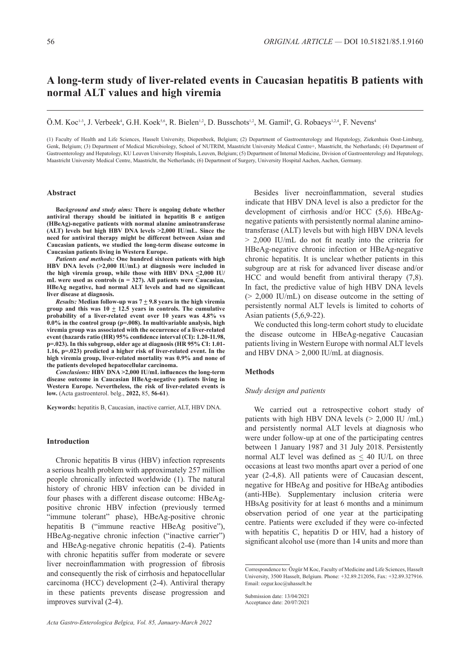# **A long-term study of liver-related events in Caucasian hepatitis B patients with normal ALT values and high viremia**

Ö.M. Koc<sup>1,3</sup>, J. Verbeek<sup>4</sup>, G.H. Koek<sup>5,6</sup>, R. Bielen<sup>1,2</sup>, D. Busschots<sup>1,2</sup>, M. Gamil<sup>4</sup>, G. Robaeys<sup>1,2,4</sup>, F. Nevens<sup>4</sup>

(1) Faculty of Health and Life Sciences, Hasselt University, Diepenbeek, Belgium; (2) Department of Gastroenterology and Hepatology, Ziekenhuis Oost-Limburg, Genk, Belgium; (3) Department of Medical Microbiology, School of NUTRIM, Maastricht University Medical Centre+, Maastricht, the Netherlands; (4) Department of Gastroenterology and Hepatology, KU Leuven University Hospitals, Leuven, Belgium; (5) Department of Internal Medicine, Division of Gastroenterology and Hepatology, Maastricht University Medical Centre, Maastricht, the Netherlands; (6) Department of Surgery, University Hospital Aachen, Aachen, Germany.

#### **Abstract**

**B***ackground and study aims:* **There is ongoing debate whether antiviral therapy should be initiated in hepatitis B e antigen (HBeAg)-negative patients with normal alanine aminotransferase (ALT) levels but high HBV DNA levels >2,000 IU/mL. Since the need for antiviral therapy might be different between Asian and Caucasian patients, we studied the long-term disease outcome in Caucasian patients living in Western Europe.**

*Patients and methods:* **One hundred sixteen patients with high HBV DNA levels (>2,000 IU/mL) at diagnosis were included in the high viremia group, while those with HBV DNA <2,000 IU/ mL were used as controls (n = 327). All patients were Caucasian, HBeAg negative, had normal ALT levels and had no significant liver disease at diagnosis.**

*Results:* Median follow-up was  $7 \pm 9.8$  years in the high viremia **group and this was 10 + 12.5 years in controls. The cumulative probability of a liver-related event over 10 years was 4.8% vs 0.0% in the control group (p=.008). In multivariable analysis, high viremia group was associated with the occurrence of a liver-related event (hazards ratio (HR) 95% confidence interval (CI): 1.20-11.98, p=.023). In this subgroup, older age at diagnosis (HR 95% CI: 1.01- 1.16, p=.023) predicted a higher risk of liver-related event. In the high viremia group, liver-related mortality was 0.9% and none of the patients developed hepatocellular carcinoma.**

*Conclusions:* **HBV DNA >2,000 IU/mL influences the long-term disease outcome in Caucasian HBeAg-negative patients living in Western Europe. Nevertheless, the risk of liver-related events is low.** (Acta gastroenterol. belg., **2022,** 85, **56-61**).

**Keywords:** hepatitis B, Caucasian, inactive carrier, ALT, HBV DNA.

# **Introduction**

Chronic hepatitis B virus (HBV) infection represents a serious health problem with approximately 257 million people chronically infected worldwide (1). The natural history of chronic HBV infection can be divided in four phases with a different disease outcome: HBeAgpositive chronic HBV infection (previously termed "immune tolerant" phase), HBeAg-positive chronic hepatitis B ("immune reactive HBeAg positive"), HBeAg-negative chronic infection ("inactive carrier") and HBeAg-negative chronic hepatitis (2-4). Patients with chronic hepatitis suffer from moderate or severe liver necroinflammation with progression of fibrosis and consequently the risk of cirrhosis and hepatocellular carcinoma (HCC) development (2-4). Antiviral therapy in these patients prevents disease progression and improves survival (2-4).

Besides liver necroinflammation, several studies indicate that HBV DNA level is also a predictor for the development of cirrhosis and/or HCC (5,6). HBeAgnegative patients with persistently normal alanine aminotransferase (ALT) levels but with high HBV DNA levels > 2,000 IU/mL do not fit neatly into the criteria for HBeAg-negative chronic infection or HBeAg-negative chronic hepatitis. It is unclear whether patients in this subgroup are at risk for advanced liver disease and/or HCC and would benefit from antiviral therapy (7,8). In fact, the predictive value of high HBV DNA levels  $(> 2,000 \text{ IU/mL})$  on disease outcome in the setting of persistently normal ALT levels is limited to cohorts of Asian patients (5,6,9-22).

We conducted this long-term cohort study to elucidate the disease outcome in HBeAg-negative Caucasian patients living in Western Europe with normal ALT levels and HBV DNA  $> 2,000$  IU/mL at diagnosis.

#### **Methods**

### *Study design and patients*

We carried out a retrospective cohort study of patients with high HBV DNA levels (> 2,000 IU /mL) and persistently normal ALT levels at diagnosis who were under follow-up at one of the participating centres between 1 January 1987 and 31 July 2018. Persistently normal ALT level was defined as  $\leq$  40 IU/L on three occasions at least two months apart over a period of one year (2-4,8). All patients were of Caucasian descent, negative for HBeAg and positive for HBeAg antibodies (anti-HBe). Supplementary inclusion criteria were HBsAg positivity for at least 6 months and a minimum observation period of one year at the participating centre. Patients were excluded if they were co-infected with hepatitis C, hepatitis D or HIV, had a history of significant alcohol use (more than 14 units and more than

Correspondence to: Özgür M Koc, Faculty of Medicine and Life Sciences, Hasselt University, 3500 Hasselt, Belgium. Phone: +32.89.212056, Fax: +32.89.327916. Email: ozgur.koc@uhasselt.be

Submission date: 13/04/2021 Acceptance date: 20/07/2021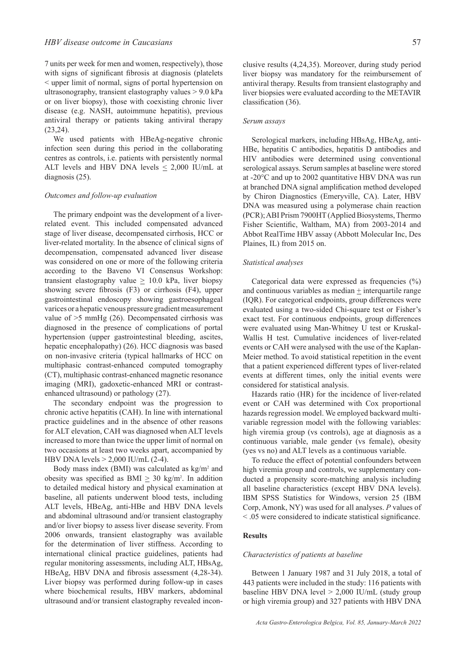7 units per week for men and women, respectively), those with signs of significant fibrosis at diagnosis (platelets < upper limit of normal, signs of portal hypertension on ultrasonography, transient elastography values > 9.0 kPa or on liver biopsy), those with coexisting chronic liver disease (e.g. NASH, autoimmune hepatitis), previous antiviral therapy or patients taking antiviral therapy (23,24).

We used patients with HBeAg-negative chronic infection seen during this period in the collaborating centres as controls, i.e. patients with persistently normal ALT levels and HBV DNA levels  $\leq$  2,000 IU/mL at diagnosis (25).

### *Outcomes and follow-up evaluation*

The primary endpoint was the development of a liverrelated event. This included compensated advanced stage of liver disease, decompensated cirrhosis, HCC or liver-related mortality. In the absence of clinical signs of decompensation, compensated advanced liver disease was considered on one or more of the following criteria according to the Baveno VI Consensus Workshop: transient elastography value  $\geq 10.0$  kPa, liver biopsy showing severe fibrosis (F3) or cirrhosis (F4), upper gastrointestinal endoscopy showing gastroesophageal varices or a hepatic venous pressure gradient measurement value of >5 mmHg (26). Decompensated cirrhosis was diagnosed in the presence of complications of portal hypertension (upper gastrointestinal bleeding, ascites, hepatic encephalopathy) (26). HCC diagnosis was based on non-invasive criteria (typical hallmarks of HCC on multiphasic contrast-enhanced computed tomography (CT), multiphasic contrast-enhanced magnetic resonance imaging (MRI), gadoxetic-enhanced MRI or contrastenhanced ultrasound) or pathology (27).

The secondary endpoint was the progression to chronic active hepatitis (CAH). In line with international practice guidelines and in the absence of other reasons for ALT elevation, CAH was diagnosed when ALT levels increased to more than twice the upper limit of normal on two occasions at least two weeks apart, accompanied by HBV DNA levels > 2,000 IU/mL (2-4).

Body mass index (BMI) was calculated as  $kg/m<sup>2</sup>$  and obesity was specified as BMI  $\geq$  30 kg/m<sup>2</sup>. In addition to detailed medical history and physical examination at baseline, all patients underwent blood tests, including ALT levels, HBeAg, anti-HBe and HBV DNA levels and abdominal ultrasound and/or transient elastography and/or liver biopsy to assess liver disease severity. From 2006 onwards, transient elastography was available for the determination of liver stiffness. According to international clinical practice guidelines, patients had regular monitoring assessments, including ALT, HBsAg, HBeAg, HBV DNA and fibrosis assessment (4,28-34). Liver biopsy was performed during follow-up in cases where biochemical results, HBV markers, abdominal ultrasound and/or transient elastography revealed inconclusive results (4,24,35). Moreover, during study period liver biopsy was mandatory for the reimbursement of antiviral therapy. Results from transient elastography and liver biopsies were evaluated according to the METAVIR classification (36).

# *Serum assays*

Serological markers, including HBsAg, HBeAg, anti-HBe, hepatitis C antibodies, hepatitis D antibodies and HIV antibodies were determined using conventional serological assays. Serum samples at baseline were stored at -20°C and up to 2002 quantitative HBV DNA was run at branched DNA signal amplification method developed by Chiron Diagnostics (Emeryville, CA). Later, HBV DNA was measured using a polymerase chain reaction (PCR); ABI Prism 7900HT (Applied Biosystems, Thermo Fisher Scientific, Waltham, MA) from 2003-2014 and Abbot RealTime HBV assay (Abbott Molecular Inc, Des Plaines, IL) from 2015 on.

### *Statistical analyses*

Categorical data were expressed as frequencies (%) and continuous variables as median + interquartile range (IQR). For categorical endpoints, group differences were evaluated using a two-sided Chi-square test or Fisher's exact test. For continuous endpoints, group differences were evaluated using Man-Whitney U test or Kruskal-Wallis H test. Cumulative incidences of liver-related events or CAH were analysed with the use of the Kaplan-Meier method. To avoid statistical repetition in the event that a patient experienced different types of liver-related events at different times, only the initial events were considered for statistical analysis.

Hazards ratio (HR) for the incidence of liver-related event or CAH was determined with Cox proportional hazards regression model. We employed backward multivariable regression model with the following variables: high viremia group (vs controls), age at diagnosis as a continuous variable, male gender (vs female), obesity (yes vs no) and ALT levels as a continuous variable.

To reduce the effect of potential confounders between high viremia group and controls, we supplementary conducted a propensity score-matching analysis including all baseline characteristics (except HBV DNA levels). IBM SPSS Statistics for Windows, version 25 (IBM Corp, Amonk, NY) was used for all analyses. *P* values of < .05 were considered to indicate statistical significance.

# **Results**

#### *Characteristics of patients at baseline*

Between 1 January 1987 and 31 July 2018, a total of 443 patients were included in the study: 116 patients with baseline HBV DNA level  $> 2,000$  IU/mL (study group or high viremia group) and 327 patients with HBV DNA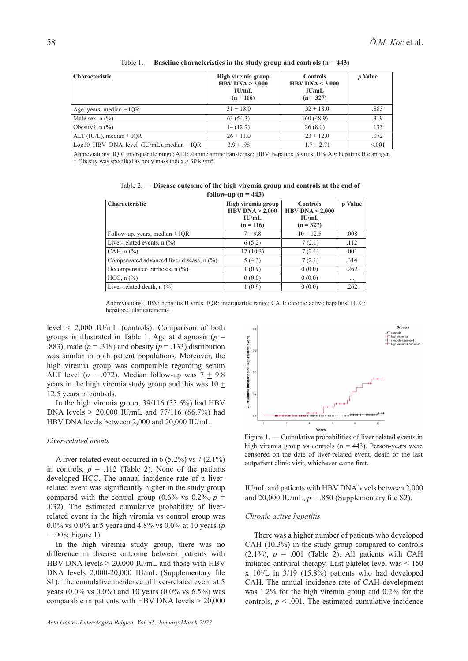| <b>Characteristic</b>                        | High viremia group<br>HBV DNA $> 2,000$<br>IU/mL<br>$(n = 116)$ | <b>Controls</b><br>HBV DNA $< 2,000$<br>IU/mL<br>$(n = 327)$ | p Value |
|----------------------------------------------|-----------------------------------------------------------------|--------------------------------------------------------------|---------|
| Age, years, median $+$ IQR                   | $31 \pm 18.0$                                                   | $32 \pm 18.0$                                                | .883    |
| Male sex, $n$ $\left(\frac{9}{6}\right)$     | 63(54.3)                                                        | 160(48.9)                                                    | .319    |
| Obesity, $n$ $\left(\frac{9}{6}\right)$      | 14(12.7)                                                        | 26(8.0)                                                      | .133    |
| $ALT$ (IU/L), median + IOR                   | $26 \pm 11.0$                                                   | $23 \pm 12.0$                                                | .072    |
| Log10 HBV DNA level $(IU/mL)$ , median + IQR | $3.9 \pm .98$                                                   | $1.7 \pm 2.71$                                               | < 0.01  |

Table 1. — **Baseline characteristics in the study group and controls (n = 443)**

Abbreviations: IQR: interquartile range; ALT: alanine aminotransferase; HBV: hepatitis B virus; HBeAg: hepatitis B e antigen. † Obesity was specified as body mass index  $\geq 30 \text{ kg/m}^2$ .

Table 2. — **Disease outcome of the high viremia group and controls at the end of follow-up (n = 443)**

| <b>Characteristic</b>                     | High viremia group<br>HBV DNA $> 2,000$<br>IU/mL<br>$(n = 116)$ | <b>Controls</b><br>HBV DNA $< 2,000$<br>$\mathbf{H}$ /mL<br>$(n = 327)$ | p Value  |
|-------------------------------------------|-----------------------------------------------------------------|-------------------------------------------------------------------------|----------|
| Follow-up, years, median $+$ IQR          | $7 \pm 9.8$                                                     | $10 \pm 12.5$                                                           | .008     |
| Liver-related events, $n$ $(\%)$          | 6(5.2)                                                          | 7(2.1)                                                                  | .112     |
| CAH, $n$ $\left(\frac{9}{6}\right)$       | 12(10.3)                                                        | 7(2.1)                                                                  | .001     |
| Compensated advanced liver disease, n (%) | 5(4.3)                                                          | 7(2.1)                                                                  | .314     |
| Decompensated cirrhosis, n (%)            | 1(0.9)                                                          | 0(0.0)                                                                  | .262     |
| $HCC, n$ $(\%)$                           | 0(0.0)                                                          | 0(0.0)                                                                  | $\cdots$ |
| Liver-related death, $n$ $(\%)$           | 1(0.9)                                                          | 0(0.0)                                                                  | .262     |

Abbreviations: HBV: hepatitis B virus; IQR: interquartile range; CAH: chronic active hepatitis; HCC: hepatocellular carcinoma.

level  $\leq$  2,000 IU/mL (controls). Comparison of both groups is illustrated in Table 1. Age at diagnosis ( $p =$ .883), male  $(p = .319)$  and obesity  $(p = .133)$  distribution was similar in both patient populations. Moreover, the high viremia group was comparable regarding serum ALT level ( $p = .072$ ). Median follow-up was  $7 \pm 9.8$ years in the high viremia study group and this was  $10 +$ 12.5 years in controls.

In the high viremia group, 39/116 (33.6%) had HBV DNA levels  $> 20,000$  IU/mL and 77/116 (66.7%) had HBV DNA levels between 2,000 and 20,000 IU/mL.

## *Liver-related events*

A liver-related event occurred in 6 (5.2%) vs 7 (2.1%) in controls,  $p = .112$  (Table 2). None of the patients developed HCC. The annual incidence rate of a liverrelated event was significantly higher in the study group compared with the control group  $(0.6\% \text{ vs } 0.2\%, p =$ .032). The estimated cumulative probability of liverrelated event in the high viremia vs control group was 0.0% vs 0.0% at 5 years and 4.8% vs 0.0% at 10 years (*p*  $= .008$ ; Figure 1).

In the high viremia study group, there was no difference in disease outcome between patients with HBV DNA levels  $> 20,000$  IU/mL and those with HBV DNA levels 2,000-20,000 IU/mL (Supplementary file S1). The cumulative incidence of liver-related event at 5 years (0.0% vs 0.0%) and 10 years (0.0% vs 6.5%) was comparable in patients with HBV DNA levels  $> 20,000$ 



Figure 1. — Cumulative probabilities of liver-related events in high viremia group vs controls ( $n = 443$ ). Person-years were censored on the date of liver-related event, death or the last outpatient clinic visit, whichever came first.

IU/mL and patients with HBV DNA levels between 2,000 and 20,000 IU/mL,  $p = .850$  (Supplementary file S2).

#### *Chronic active hepatitis*

There was a higher number of patients who developed CAH (10.3%) in the study group compared to controls  $(2.1\%)$ ,  $p = .001$  (Table 2). All patients with CAH initiated antiviral therapy. Last platelet level was < 150  $x$  10 $^{\circ}/L$  in 3/19 (15.8%) patients who had developed CAH. The annual incidence rate of CAH development was 1.2% for the high viremia group and 0.2% for the controls,  $p < .001$ . The estimated cumulative incidence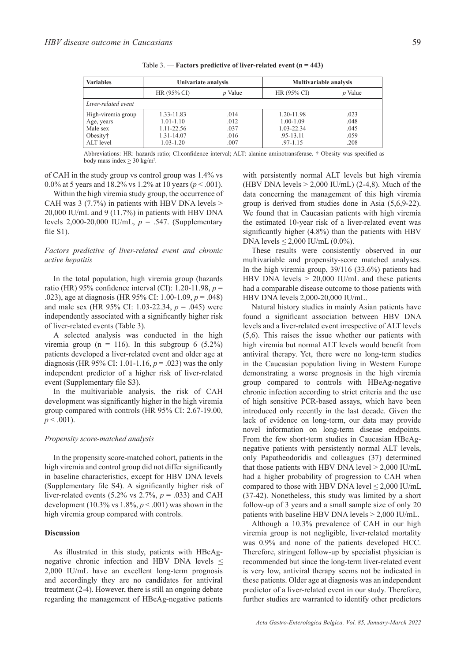| <b>Variables</b>    | Univariate analysis |                | <b>Multivariable analysis</b> |                |
|---------------------|---------------------|----------------|-------------------------------|----------------|
|                     | HR(95% CI)          | <i>p</i> Value | HR(95% CI)                    | <i>p</i> Value |
| Liver-related event |                     |                |                               |                |
| High-viremia group  | 1.33-11.83          | .014           | 1.20-11.98                    | .023           |
| Age, years          | $1.01 - 1.10$       | .012           | $1.00 - 1.09$                 | .048           |
| Male sex            | 1.11-22.56          | .037           | 1.03-22.34                    | .045           |
| Obesity†            | 1.31-14.07          | .016           | .95-13.11                     | .059           |
| ALT level           | $1.03 - 1.20$       | .007           | $.97 - 1.15$                  | .208           |

Table 3. — **Factors predictive of liver-related event (n = 443)**

Abbreviations: HR: hazards ratio; CI:confidence interval; ALT: alanine aminotransferase. † Obesity was specified as body mass index  $\geq$  30 kg/m<sup>2</sup>.

of CAH in the study group vs control group was 1.4% vs 0.0% at 5 years and 18.2% vs 1.2% at 10 years (*p* < .001).

Within the high viremia study group, the occurrence of CAH was 3 (7.7%) in patients with HBV DNA levels  $>$ 20,000 IU/mL and 9 (11.7%) in patients with HBV DNA levels 2,000-20,000 IU/mL, *p* = .547. (Supplementary file S1).

# *Factors predictive of liver-related event and chronic active hepatitis*

In the total population, high viremia group (hazards ratio (HR) 95% confidence interval (CI): 1.20-11.98, *p* = .023), age at diagnosis (HR 95% CI: 1.00-1.09, *p* = .048) and male sex (HR 95% CI: 1.03-22.34, *p* = .045) were independently associated with a significantly higher risk of liver-related events (Table 3).

A selected analysis was conducted in the high viremia group ( $n = 116$ ). In this subgroup 6 (5.2%) patients developed a liver-related event and older age at diagnosis (HR 95% CI: 1.01-1.16, *p* = .023) was the only independent predictor of a higher risk of liver-related event (Supplementary file S3).

In the multivariable analysis, the risk of CAH development was significantly higher in the high viremia group compared with controls (HR 95% CI: 2.67-19.00,  $p < .001$ ).

# *Propensity score-matched analysis*

In the propensity score-matched cohort, patients in the high viremia and control group did not differ significantly in baseline characteristics, except for HBV DNA levels (Supplementary file S4). A significantly higher risk of liver-related events  $(5.2\% \text{ vs } 2.7\%, p = .033)$  and CAH development (10.3% vs  $1.8\%$ ,  $p < .001$ ) was shown in the high viremia group compared with controls.

### **Discussion**

As illustrated in this study, patients with HBeAgnegative chronic infection and HBV DNA levels  $\leq$ 2,000 IU/mL have an excellent long-term prognosis and accordingly they are no candidates for antiviral treatment (2-4). However, there is still an ongoing debate regarding the management of HBeAg-negative patients with persistently normal ALT levels but high viremia (HBV DNA levels  $> 2,000$  IU/mL) (2-4,8). Much of the data concerning the management of this high viremia group is derived from studies done in Asia (5,6,9-22). We found that in Caucasian patients with high viremia the estimated 10-year risk of a liver-related event was significantly higher (4.8%) than the patients with HBV DNA levels  $\leq 2,000$  IU/mL  $(0.0\%)$ .

These results were consistently observed in our multivariable and propensity-score matched analyses. In the high viremia group, 39/116 (33.6%) patients had HBV DNA levels  $> 20,000$  IU/mL and these patients had a comparable disease outcome to those patients with HBV DNA levels 2,000-20,000 IU/mL.

Natural history studies in mainly Asian patients have found a significant association between HBV DNA levels and a liver-related event irrespective of ALT levels (5,6). This raises the issue whether our patients with high viremia but normal ALT levels would benefit from antiviral therapy. Yet, there were no long-term studies in the Caucasian population living in Western Europe demonstrating a worse prognosis in the high viremia group compared to controls with HBeAg-negative chronic infection according to strict criteria and the use of high sensitive PCR-based assays, which have been introduced only recently in the last decade. Given the lack of evidence on long-term, our data may provide novel information on long-term disease endpoints. From the few short-term studies in Caucasian HBeAgnegative patients with persistently normal ALT levels, only Papatheodoridis and colleagues (37) determined that those patients with HBV DNA level  $> 2,000$  IU/mL had a higher probability of progression to CAH when compared to those with HBV DNA level  $\leq 2,000$  IU/mL (37-42). Nonetheless, this study was limited by a short follow-up of 3 years and a small sample size of only 20 patients with baseline HBV DNA levels > 2,000 IU/mL.

Although a 10.3% prevalence of CAH in our high viremia group is not negligible, liver-related mortality was 0.9% and none of the patients developed HCC. Therefore, stringent follow-up by specialist physician is recommended but since the long-term liver-related event is very low, antiviral therapy seems not be indicated in these patients. Older age at diagnosis was an independent predictor of a liver-related event in our study. Therefore, further studies are warranted to identify other predictors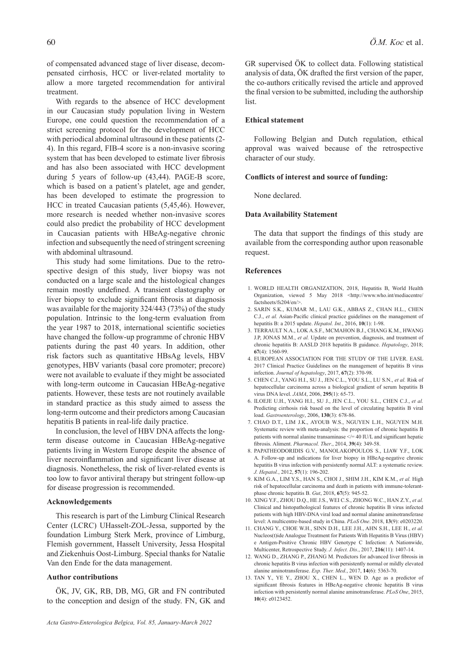of compensated advanced stage of liver disease, decompensated cirrhosis, HCC or liver-related mortality to allow a more targeted recommendation for antiviral treatment.

With regards to the absence of HCC development in our Caucasian study population living in Western Europe, one could question the recommendation of a strict screening protocol for the development of HCC with periodical abdominal ultrasound in these patients (2- 4). In this regard, FIB-4 score is a non-invasive scoring system that has been developed to estimate liver fibrosis and has also been associated with HCC development during 5 years of follow-up (43,44). PAGE-B score, which is based on a patient's platelet, age and gender, has been developed to estimate the progression to HCC in treated Caucasian patients (5,45,46). However, more research is needed whether non-invasive scores could also predict the probability of HCC development in Caucasian patients with HBeAg-negative chronic infection and subsequently the need of stringent screening with abdominal ultrasound.

This study had some limitations. Due to the retrospective design of this study, liver biopsy was not conducted on a large scale and the histological changes remain mostly undefined. A transient elastography or liver biopsy to exclude significant fibrosis at diagnosis was available for the majority 324/443 (73%) of the study population. Intrinsic to the long-term evaluation from the year 1987 to 2018, international scientific societies have changed the follow-up programme of chronic HBV patients during the past 40 years. In addition, other risk factors such as quantitative HBsAg levels, HBV genotypes, HBV variants (basal core promoter; precore) were not available to evaluate if they might be associated with long-term outcome in Caucasian HBeAg-negative patients. However, these tests are not routinely available in standard practice as this study aimed to assess the long-term outcome and their predictors among Caucasian hepatitis B patients in real-life daily practice.

In conclusion, the level of HBV DNA affects the longterm disease outcome in Caucasian HBeAg-negative patients living in Western Europe despite the absence of liver necroinflammation and significant liver disease at diagnosis. Nonetheless, the risk of liver-related events is too low to favor antiviral therapy but stringent follow-up for disease progression is recommended.

### **Acknowledgements**

This research is part of the Limburg Clinical Research Center (LCRC) UHasselt-ZOL-Jessa, supported by the foundation Limburg Sterk Merk, province of Limburg, Flemish government, Hasselt University, Jessa Hospital and Ziekenhuis Oost-Limburg. Special thanks for Natalie Van den Ende for the data management.

### **Author contributions**

ÖK, JV, GK, RB, DB, MG, GR and FN contributed to the conception and design of the study. FN, GK and GR supervised ÖK to collect data. Following statistical analysis of data, ÖK drafted the first version of the paper, the co-authors critically revised the article and approved the final version to be submitted, including the authorship list.

#### **Ethical statement**

Following Belgian and Dutch regulation, ethical approval was waived because of the retrospective character of our study.

#### **Conflicts of interest and source of funding:**

None declared.

### **Data Availability Statement**

The data that support the findings of this study are available from the corresponding author upon reasonable request.

# **References**

- 1. WORLD HEALTH ORGANIZATION, 2018, Hepatitis B, World Health Organization, viewed 5 May 2018 <http://www.who.int/mediacentre/ factsheets/fs204/en/>.
- 2. SARIN S.K., KUMAR M., LAU G.K., ABBAS Z., CHAN H.L., CHEN C.J., *et al.* Asian-Pacific clinical practice guidelines on the management of hepatitis B: a 2015 update. *Hepatol. Int.*, 2016, **10**(1): 1-98.
- 3. TERRAULT N.A., LOK A.S.F., MCMAHON B.J., CHANG K.M., HWANG J.P, JONAS M.M., *et al.* Update on prevention, diagnosis, and treatment of chronic hepatitis B: AASLD 2018 hepatitis B guidance. *Hepatology*, 2018; **67**(4): 1560-99.
- 4. EUROPEAN ASSOCIATION FOR THE STUDY OF THE LIVER. EASL 2017 Clinical Practice Guidelines on the management of hepatitis B virus infection. *Journal of hepatology*, 2017, **67**(2): 370-98.
- 5. CHEN C.J., YANG H.I., SU J., JEN C.L., YOU S.L., LU S.N., *et al.* Risk of hepatocellular carcinoma across a biological gradient of serum hepatitis B virus DNA level. *JAMA*, 2006, **295**(1): 65-73.
- 6. ILOEJE U.H., YANG H.I., SU J., JEN C.L., YOU S.L., CHEN C.J., *et al.* Predicting cirrhosis risk based on the level of circulating hepatitis B viral load. *Gastroenterology*, 2006, **130**(3): 678-86.
- 7. CHAO D.T., LIM J.K., AYOUB W.S., NGUYEN L.H., NGUYEN M.H. Systematic review with meta-analysis: the proportion of chronic hepatitis B patients with normal alanine transaminase  $\leq$  = 40 IU/L and significant hepatic fibrosis. Aliment. *Pharmacol. Ther*., 2014, **39**(4): 349-58.
- 8. PAPATHEODORIDIS G.V., MANOLAKOPOULOS S., LIAW Y.F., LOK A. Follow-up and indications for liver biopsy in HBeAg-negative chronic hepatitis B virus infection with persistently normal ALT: a systematic review. *J. Hepatol.*, 2012, **57**(1): 196-202.
- 9. KIM G.A., LIM Y.S., HAN S., CHOI J., SHIM J.H., KIM K.M., *et al.* High risk of hepatocellular carcinoma and death in patients with immune-tolerantphase chronic hepatitis B. *Gut*, 2018, **67**(5): 945-52.
- 10. XING Y.F., ZHOU D.Q., HE J.S., WEI C.S., ZHONG W.C., HAN Z.Y., *et al.* Clinical and histopathological features of chronic hepatitis B virus infected patients with high HBV-DNA viral load and normal alanine aminotransferase level: A multicentre-based study in China. *PLoS One*. 2018, **13**(9): e0203220.
- 11. CHANG Y., CHOE W.H., SINN D.H., LEE J.H., AHN S.H., LEE H., *et al.* Nucleos(t)ide Analogue Treatment for Patients With Hepatitis B Virus (HBV) e Antigen-Positive Chronic HBV Genotype C Infection: A Nationwide, Multicenter, Retrospective Study. *J. Infect. Dis.*, 2017, **216**(11): 1407-14.
- 12. WANG D., ZHANG P., ZHANG M. Predictors for advanced liver fibrosis in chronic hepatitis B virus infection with persistently normal or mildly elevated alanine aminotransferase. *Exp. Ther. Med.*, 2017, **14**(6): 5363-70.
- 13. TAN Y., YE Y., ZHOU X., CHEN L., WEN D. Age as a predictor of significant fibrosis features in HBeAg-negative chronic hepatitis B virus infection with persistently normal alanine aminotransferase. *PLoS One*, 2015, **10**(4): e0123452.